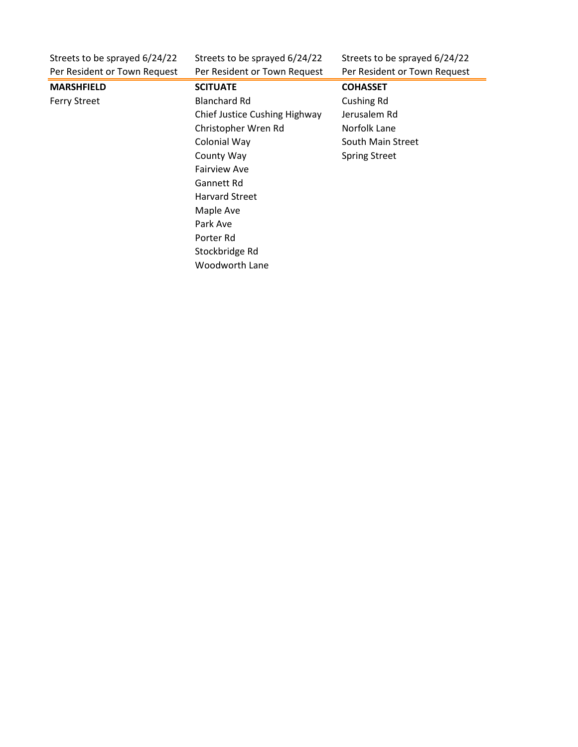| Streets to be sprayed 6/24/22 | Streets to be sprayed 6/24/22 | Streets to be sprayed 6/24/22 |
|-------------------------------|-------------------------------|-------------------------------|
| Per Resident or Town Request  | Per Resident or Town Request  | Per Resident or Town Request  |
| <b>MARSHFIELD</b>             | <b>SCITUATE</b>               | <b>COHASSET</b>               |
| <b>Ferry Street</b>           | <b>Blanchard Rd</b>           | <b>Cushing Rd</b>             |
|                               | Chief Justice Cushing Highway | Jerusalem Rd                  |
|                               | Christopher Wren Rd           | Norfolk Lane                  |
|                               | Colonial Way                  | South Main Street             |
|                               | County Way                    | <b>Spring Street</b>          |
|                               | <b>Fairview Ave</b>           |                               |
|                               | Gannett Rd                    |                               |
|                               | <b>Harvard Street</b>         |                               |
|                               | Maple Ave                     |                               |
|                               | Park Ave                      |                               |
|                               | Porter Rd                     |                               |
|                               | Stockbridge Rd                |                               |
|                               | Woodworth Lane                |                               |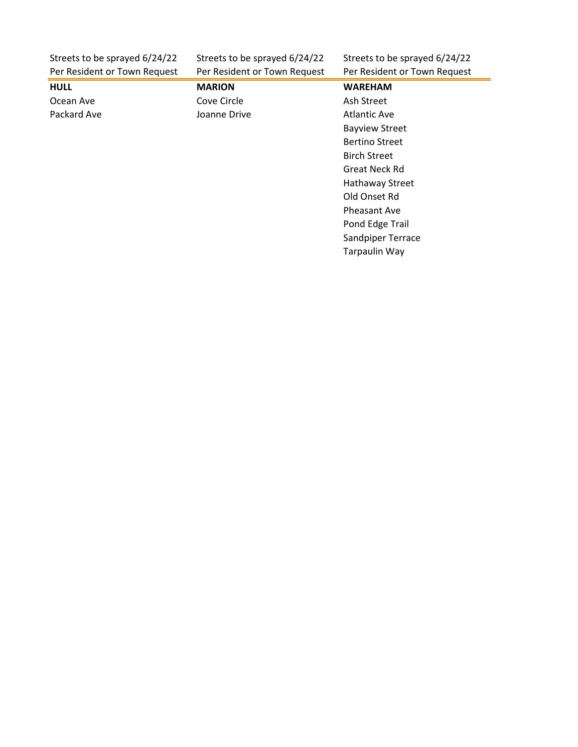| Streets to be sprayed 6/24/22 |  |
|-------------------------------|--|
| Per Resident or Town Request  |  |

Streets to be sprayed 6/24/22 Streets to be sprayed 6/24/22<br>Per Resident or Town Request Per Resident or Town Request

| Per Resident or Town Request | Per Resident or Town Request | Per Resident or Town Request |
|------------------------------|------------------------------|------------------------------|
| <b>HULL</b>                  | <b>MARION</b>                | <b>WAREHAM</b>               |
| Ocean Ave                    | Cove Circle                  | Ash Street                   |
| Packard Ave                  | Joanne Drive                 | <b>Atlantic Ave</b>          |
|                              |                              | <b>Bayview Street</b>        |
|                              |                              | <b>Bertino Street</b>        |
|                              |                              | <b>Birch Street</b>          |
|                              |                              | Great Neck Rd                |
|                              |                              | <b>Hathaway Street</b>       |
|                              |                              | Old Onset Rd                 |
|                              |                              | Pheasant Ave                 |
|                              |                              | Pond Edge Trail              |
|                              |                              | Sandpiper Terrace            |
|                              |                              | <b>Tarpaulin Way</b>         |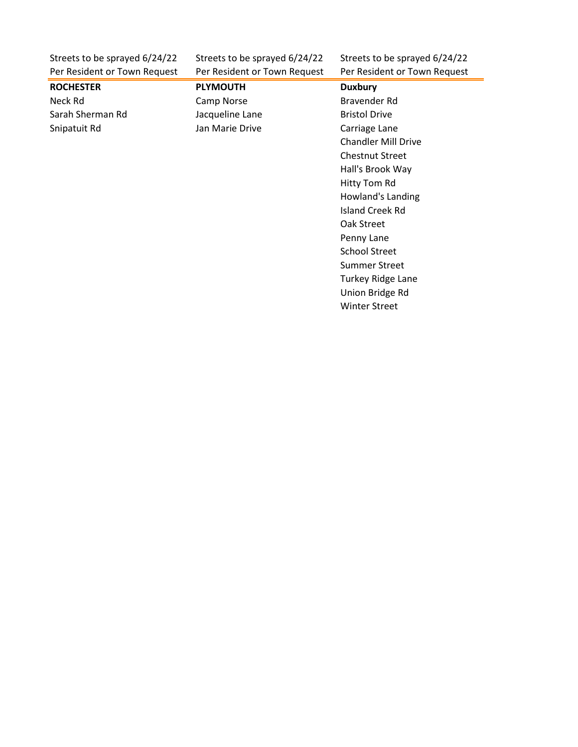| Streets to be sprayed 6/24/22 | Streets to be sprayed 6/24/22 | Streets to be sprayed 6/24/22 |
|-------------------------------|-------------------------------|-------------------------------|
| Per Resident or Town Request  | Per Resident or Town Request  | Per Resident or Town Request  |
| <b>ROCHESTER</b>              | <b>PLYMOUTH</b>               | <b>Duxbury</b>                |
| Neck Rd                       | Camp Norse                    | Bravender Rd                  |
| Sarah Sherman Rd              | Jacqueline Lane               | <b>Bristol Drive</b>          |
| Snipatuit Rd                  | Jan Marie Drive               | Carriage Lane                 |
|                               |                               | <b>Chandler Mill Drive</b>    |
|                               |                               | <b>Chestnut Street</b>        |
|                               |                               | Hall's Brook Way              |
|                               |                               | Hitty Tom Rd                  |
|                               |                               | Howland's Landing             |
|                               |                               | Island Creek Rd               |
|                               |                               | Oak Street                    |
|                               |                               | Penny Lane                    |
|                               |                               | <b>School Street</b>          |
|                               |                               | <b>Summer Street</b>          |
|                               |                               | <b>Turkey Ridge Lane</b>      |
|                               |                               | Union Bridge Rd               |
|                               |                               | <b>Winter Street</b>          |
|                               |                               |                               |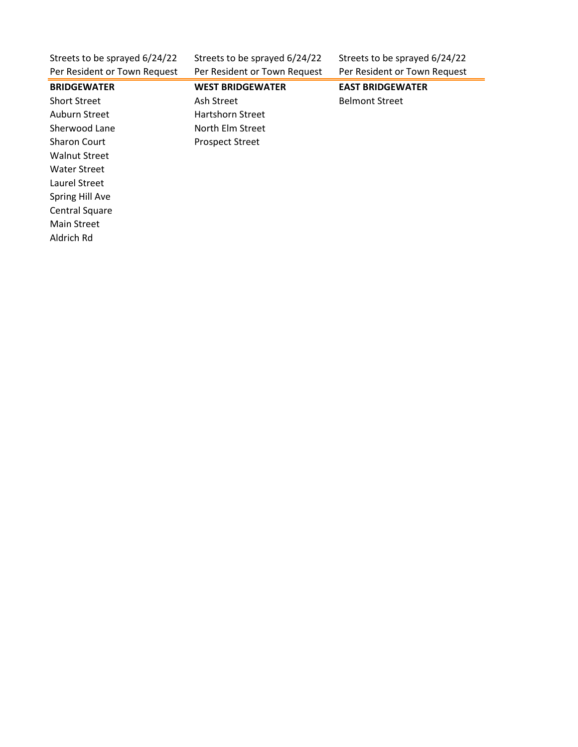| Streets to be sprayed 6/24/22<br>Per Resident or Town Request | Streets to be sprayed 6/24/22<br>Per Resident or Town Request | Streets to be sprayed 6/24/22<br>Per Resident or Town Request |
|---------------------------------------------------------------|---------------------------------------------------------------|---------------------------------------------------------------|
| <b>BRIDGEWATER</b>                                            | <b>WEST BRIDGEWATER</b>                                       | <b>EAST BRIDGEWATER</b>                                       |
| <b>Short Street</b>                                           | Ash Street                                                    | <b>Belmont Street</b>                                         |
| Auburn Street                                                 | <b>Hartshorn Street</b>                                       |                                                               |
| Sherwood Lane                                                 | North Elm Street                                              |                                                               |
| <b>Sharon Court</b>                                           | <b>Prospect Street</b>                                        |                                                               |
| <b>Walnut Street</b>                                          |                                                               |                                                               |
| Water Street                                                  |                                                               |                                                               |
| Laurel Street                                                 |                                                               |                                                               |
| Spring Hill Ave                                               |                                                               |                                                               |
| <b>Central Square</b>                                         |                                                               |                                                               |
| Main Street                                                   |                                                               |                                                               |
| Aldrich Rd                                                    |                                                               |                                                               |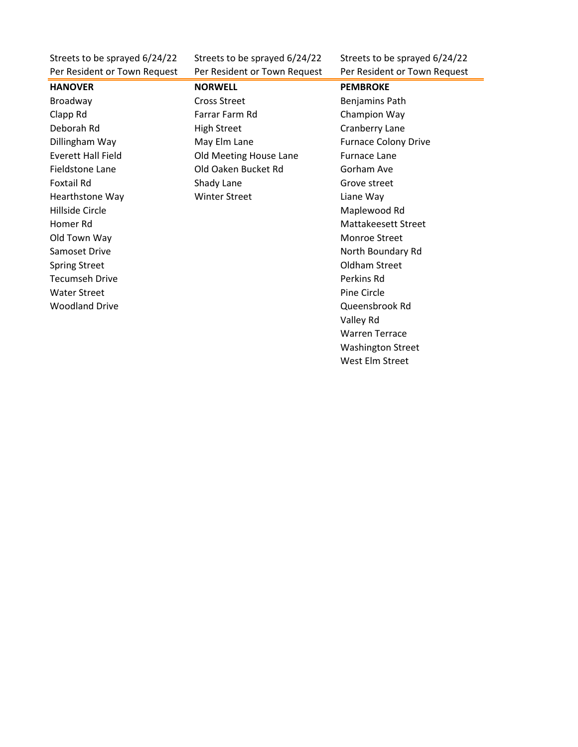Per Resident or Town Request Per Resident or Town Request Per Resident or Town Request

Streets to be sprayed 6/24/22 Streets to be sprayed 6/24/22 Streets to be sprayed 6/24/22

## Hillside Circle Maplewood Rd Old Town Way **Monroe Street** Monroe Street Spring Street **Oldham Street** Tecumseh Drive **Perkins Rd** Water Street **Pine Circle** Pine Circle Woodland Drive **Contract Contract Contract Contract Contract Contract Contract Contract Contract Contract Contract Contract Contract Contract Contract Contract Contract Contract Contract Contract Contract Contract Contract**

**HANOVER NORWELL PEMBROKE** Broadway **Broadway** Cross Street **Benjamins Path** Clapp Rd Farrar Farm Rd Champion Way Deborah Rd **High Street** Cranberry Lane Dillingham Way **May Elm Lane May Elm Lane** Furnace Colony Drive Everett Hall Field **Europe Cold Meeting House Lane** Furnace Lane Fieldstone Lane **Communist Containers** Old Oaken Bucket Rd **Gorham Ave** Foxtail Rd **Shady Lane** Grove street Hearthstone Way **Winter Street Liane Way** 

Homer Rd Mattakeesett Street Samoset Drive North Boundary Rd Valley Rd Warren Terrace Washington Street West Elm Street